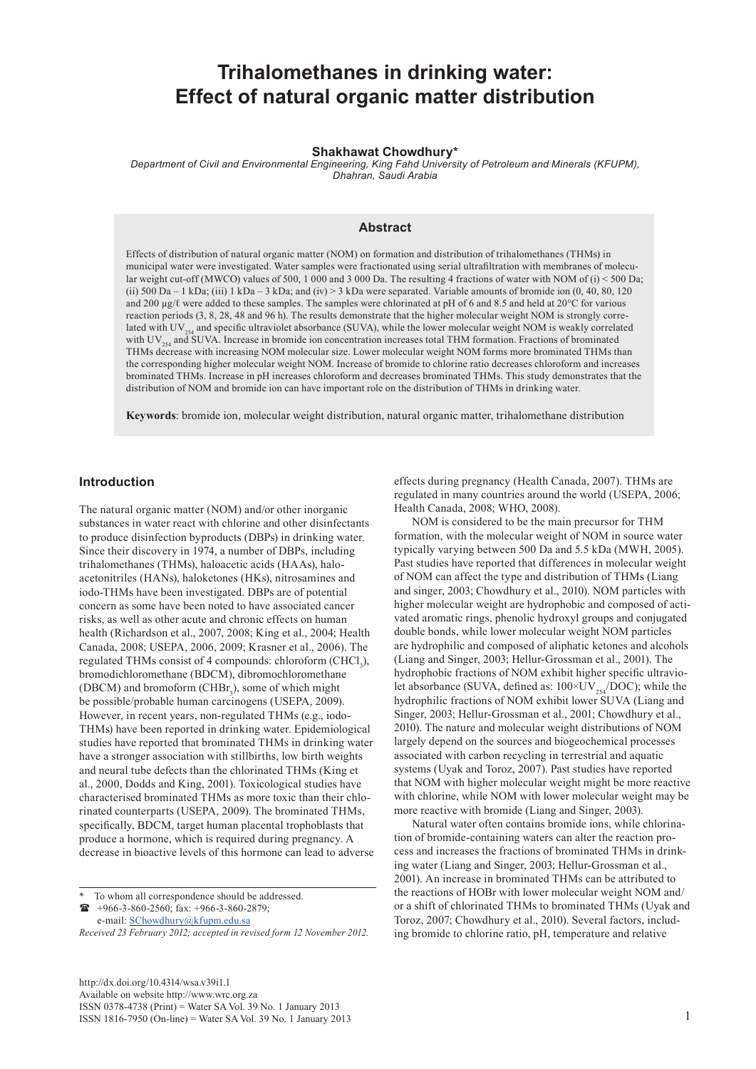# **Trihalomethanes in drinking water: Effect of natural organic matter distribution**

#### **Shakhawat Chowdhury\***

*Department of Civil and Environmental Engineering, King Fahd University of Petroleum and Minerals (KFUPM), Dhahran, Saudi Arabia*

# **Abstract**

Effects of distribution of natural organic matter (NOM) on formation and distribution of trihalomethanes (THMs) in municipal water were investigated. Water samples were fractionated using serial ultrafiltration with membranes of molecular weight cut-off (MWCO) values of 500, 1 000 and 3 000 Da. The resulting 4 fractions of water with NOM of  $(i) < 500$  Da; (ii)  $500$  Da – 1 kDa; (iii) 1 kDa – 3 kDa; and (iv) > 3 kDa were separated. Variable amounts of bromide ion (0, 40, 80, 120) and 200 µg/ℓ were added to these samples. The samples were chlorinated at pH of 6 and 8.5 and held at 20°C for various reaction periods (3, 8, 28, 48 and 96 h). The results demonstrate that the higher molecular weight NOM is strongly correlated with UV<sub>254</sub> and specific ultraviolet absorbance (SUVA), while the lower molecular weight NOM is weakly correlated with  $UV_{254}$  and SUVA. Increase in bromide ion concentration increases total THM formation. Fractions of brominated THMs decrease with increasing NOM molecular size. Lower molecular weight NOM forms more brominated THMs than the corresponding higher molecular weight NOM. Increase of bromide to chlorine ratio decreases chloroform and increases brominated THMs. Increase in pH increases chloroform and decreases brominated THMs. This study demonstrates that the distribution of NOM and bromide ion can have important role on the distribution of THMs in drinking water.

**Keywords**: bromide ion, molecular weight distribution, natural organic matter, trihalomethane distribution

# **Introduction**

The natural organic matter (NOM) and/or other inorganic substances in water react with chlorine and other disinfectants to produce disinfection byproducts (DBPs) in drinking water. Since their discovery in 1974, a number of DBPs, including trihalomethanes (THMs), haloacetic acids (HAAs), haloacetonitriles (HANs), haloketones (HKs), nitrosamines and iodo-THMs have been investigated. DBPs are of potential concern as some have been noted to have associated cancer risks, as well as other acute and chronic effects on human health (Richardson et al., 2007, 2008; King et al., 2004; Health Canada, 2008; USEPA, 2006, 2009; Krasner et al., 2006). The regulated THMs consist of 4 compounds: chloroform (CHCl<sub>3</sub>), bromodichloromethane (BDCM), dibromochloromethane (DBCM) and bromoform (CHB $r<sub>3</sub>$ ), some of which might be possible/probable human carcinogens (USEPA, 2009). However, in recent years, non-regulated THMs (e.g., iodo-THMs) have been reported in drinking water. Epidemiological studies have reported that brominated THMs in drinking water have a stronger association with stillbirths, low birth weights and neural tube defects than the chlorinated THMs (King et al., 2000, Dodds and King, 2001). Toxicological studies have characterised brominated THMs as more toxic than their chlorinated counterparts (USEPA, 2009). The brominated THMs, specifically, BDCM, target human placental trophoblasts that produce a hormone, which is required during pregnancy. A decrease in bioactive levels of this hormone can lead to adverse

To whom all correspondence should be addressed. +966-3-860-2560; fax: +966-3-860-2879;

e-mail: [SChowdhury@kfupm.edu.sa](mailto:SChowdhury@kfupm.edu.sa)

*Received 23 February 2012; accepted in revised form 12 November 2012.*

[http://dx.doi.org/10.4314/wsa.v39i1.1](http://dx.doi.org/10.4314/wsa.v37i4.18)  Available on website http://www.wrc.org.za ISSN 0378-4738 (Print) = Water SA Vol. 39 No. 1 January 2013 ISSN 1816-7950 (On-line) = Water SA Vol. 39 No. 1 January 2013 1

effects during pregnancy (Health Canada, 2007). THMs are regulated in many countries around the world (USEPA, 2006; Health Canada, 2008; WHO, 2008).

NOM is considered to be the main precursor for THM formation, with the molecular weight of NOM in source water typically varying between 500 Da and 5.5 kDa (MWH, 2005). Past studies have reported that differences in molecular weight of NOM can affect the type and distribution of THMs (Liang and singer, 2003; Chowdhury et al., 2010). NOM particles with higher molecular weight are hydrophobic and composed of activated aromatic rings, phenolic hydroxyl groups and conjugated double bonds, while lower molecular weight NOM particles are hydrophilic and composed of aliphatic ketones and alcohols (Liang and Singer, 2003; Hellur-Grossman et al., 2001). The hydrophobic fractions of NOM exhibit higher specific ultraviolet absorbance (SUVA, defined as:  $100 \times UV_{354}/DOC$ ); while the hydrophilic fractions of NOM exhibit lower SUVA (Liang and Singer, 2003; Hellur-Grossman et al., 2001; Chowdhury et al., 2010). The nature and molecular weight distributions of NOM largely depend on the sources and biogeochemical processes associated with carbon recycling in terrestrial and aquatic systems (Uyak and Toroz, 2007). Past studies have reported that NOM with higher molecular weight might be more reactive with chlorine, while NOM with lower molecular weight may be more reactive with bromide (Liang and Singer, 2003).

Natural water often contains bromide ions, while chlorination of bromide-containing waters can alter the reaction process and increases the fractions of brominated THMs in drinking water (Liang and Singer, 2003; Hellur-Grossman et al., 2001). An increase in brominated THMs can be attributed to the reactions of HOBr with lower molecular weight NOM and/ or a shift of chlorinated THMs to brominated THMs (Uyak and Toroz, 2007; Chowdhury et al., 2010). Several factors, including bromide to chlorine ratio, pH, temperature and relative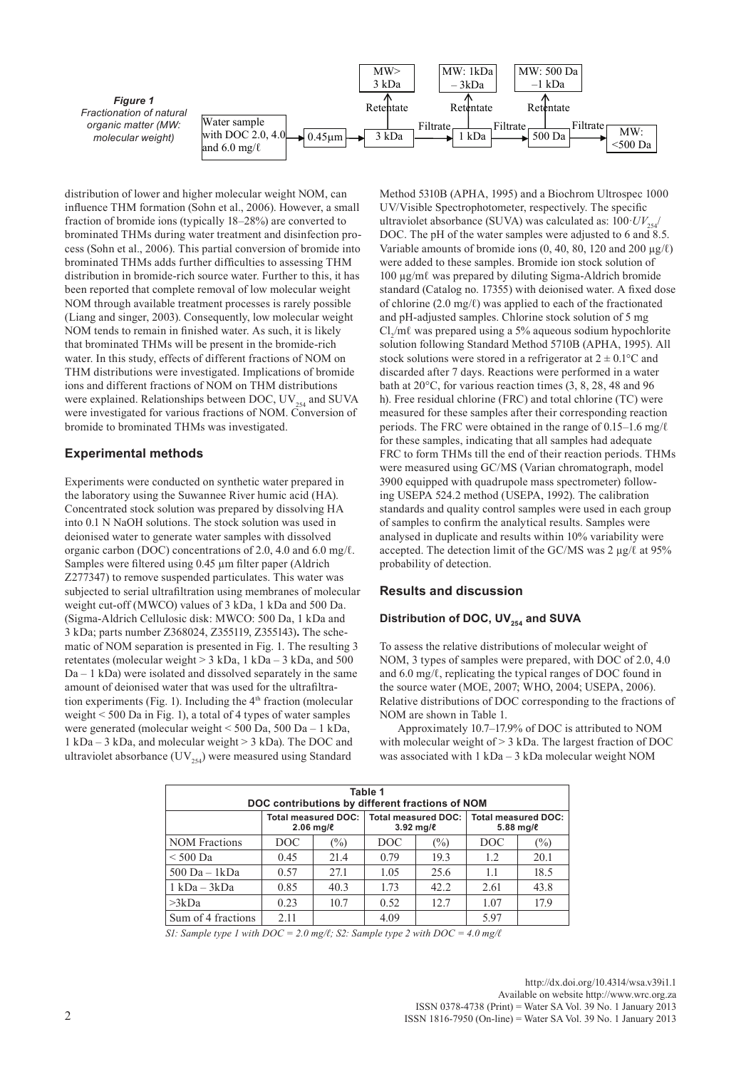

distribution of lower and higher molecular weight NOM, can influence THM formation (Sohn et al., 2006). However, a small fraction of bromide ions (typically 18–28%) are converted to brominated THMs during water treatment and disinfection process (Sohn et al., 2006). This partial conversion of bromide into brominated THMs adds further difficulties to assessing THM distribution in bromide-rich source water. Further to this, it has been reported that complete removal of low molecular weight NOM through available treatment processes is rarely possible (Liang and singer, 2003). Consequently, low molecular weight NOM tends to remain in finished water. As such, it is likely that brominated THMs will be present in the bromide-rich water. In this study, effects of different fractions of NOM on THM distributions were investigated. Implications of bromide ions and different fractions of NOM on THM distributions were explained. Relationships between DOC,  $UV_{254}$  and SUVA were investigated for various fractions of NOM. Conversion of bromide to brominated THMs was investigated.

# **Experimental methods**

Experiments were conducted on synthetic water prepared in the laboratory using the Suwannee River humic acid (HA). Concentrated stock solution was prepared by dissolving HA into 0.1 N NaOH solutions. The stock solution was used in deionised water to generate water samples with dissolved organic carbon (DOC) concentrations of 2.0, 4.0 and 6.0 mg/ℓ. Samples were filtered using 0.45  $\mu$ m filter paper (Aldrich Z277347) to remove suspended particulates. This water was subjected to serial ultrafiltration using membranes of molecular weight cut-off (MWCO) values of 3 kDa, 1 kDa and 500 Da. (Sigma-Aldrich Cellulosic disk: MWCO: 500 Da, 1 kDa and 3 kDa; parts number Z368024, Z355119, Z355143)**.** The schematic of NOM separation is presented in Fig. 1. The resulting 3 retentates (molecular weight  $> 3$  kDa, 1 kDa – 3 kDa, and 500 Da – 1 kDa) were isolated and dissolved separately in the same amount of deionised water that was used for the ultrafiltration experiments (Fig. 1). Including the  $4<sup>th</sup>$  fraction (molecular weight < 500 Da in Fig. 1), a total of 4 types of water samples were generated (molecular weight < 500 Da, 500 Da – 1 kDa, 1 kDa – 3 kDa, and molecular weight > 3 kDa). The DOC and ultraviolet absorbance  $(UV_{254})$  were measured using Standard

Method 5310B (APHA, 1995) and a Biochrom Ultrospec 1000 UV/Visible Spectrophotometer, respectively. The specific ultraviolet absorbance (SUVA) was calculated as:  $100 \cdot UV_{254}/$ DOC. The pH of the water samples were adjusted to 6 and 8.5. Variable amounts of bromide ions  $(0, 40, 80, 120$  and  $200 \mu g/l)$ were added to these samples. Bromide ion stock solution of 100 µg/mℓ was prepared by diluting Sigma-Aldrich bromide standard (Catalog no. 17355) with deionised water. A fixed dose of chlorine  $(2.0 \text{ mg}/\ell)$  was applied to each of the fractionated and pH-adjusted samples. Chlorine stock solution of 5 mg  $Cl_2/m\ell$  was prepared using a 5% aqueous sodium hypochlorite solution following Standard Method 5710B (APHA, 1995). All stock solutions were stored in a refrigerator at  $2 \pm 0.1$ °C and discarded after 7 days. Reactions were performed in a water bath at 20°C, for various reaction times (3, 8, 28, 48 and 96 h). Free residual chlorine (FRC) and total chlorine (TC) were measured for these samples after their corresponding reaction periods. The FRC were obtained in the range of  $0.15-1.6$  mg/ $\ell$ for these samples, indicating that all samples had adequate FRC to form THMs till the end of their reaction periods. THMs were measured using GC/MS (Varian chromatograph, model 3900 equipped with quadrupole mass spectrometer) following USEPA 524.2 method (USEPA, 1992). The calibration standards and quality control samples were used in each group of samples to confirm the analytical results. Samples were analysed in duplicate and results within 10% variability were accepted. The detection limit of the GC/MS was 2 µg/ℓ at 95% probability of detection.

# **Results and discussion**

# **Distribution of DOC, UV<sub>354</sub> and SUVA**

To assess the relative distributions of molecular weight of NOM, 3 types of samples were prepared, with DOC of 2.0, 4.0 and 6.0 mg/ℓ, replicating the typical ranges of DOC found in the source water (MOE, 2007; WHO, 2004; USEPA, 2006). Relative distributions of DOC corresponding to the fractions of NOM are shown in Table 1.

Approximately 10.7–17.9% of DOC is attributed to NOM with molecular weight of > 3 kDa. The largest fraction of DOC was associated with 1 kDa – 3 kDa molecular weight NOM

| Table 1<br>DOC contributions by different fractions of NOM |                                                 |               |                                                 |               |                                              |                            |
|------------------------------------------------------------|-------------------------------------------------|---------------|-------------------------------------------------|---------------|----------------------------------------------|----------------------------|
|                                                            | <b>Total measured DOC:</b><br>$2.06$ mg/ $\ell$ |               | <b>Total measured DOC:</b><br>$3.92$ mg/ $\ell$ |               | <b>Total measured DOC:</b><br>5.88 $mq/\ell$ |                            |
| <b>NOM Fractions</b>                                       | DOC                                             | $\frac{1}{2}$ | DOC                                             | $\frac{1}{2}$ | DOC                                          | $\left(\frac{0}{0}\right)$ |
| $\leq 500$ Da                                              | 0.45                                            | 21.4          | 0.79                                            | 19.3          | 1.2                                          | 20.1                       |
| $500$ Da - 1kDa                                            | 0.57                                            | 27.1          | 1.05                                            | 25.6          | 1.1                                          | 18.5                       |
| $1 kDa - 3kDa$                                             | 0.85                                            | 40.3          | 1.73                                            | 42.2          | 2.61                                         | 43.8                       |
| >3kDa                                                      | 0.23                                            | 10.7          | 0.52                                            | 12.7          | 1.07                                         | 17.9                       |
| Sum of 4 fractions                                         | 2.11                                            |               | 4.09                                            |               | 5.97                                         |                            |

*S1: Sample type 1 with DOC = 2.0 mg/ℓ; S2: Sample type 2 with DOC = 4.0 mg/ℓ*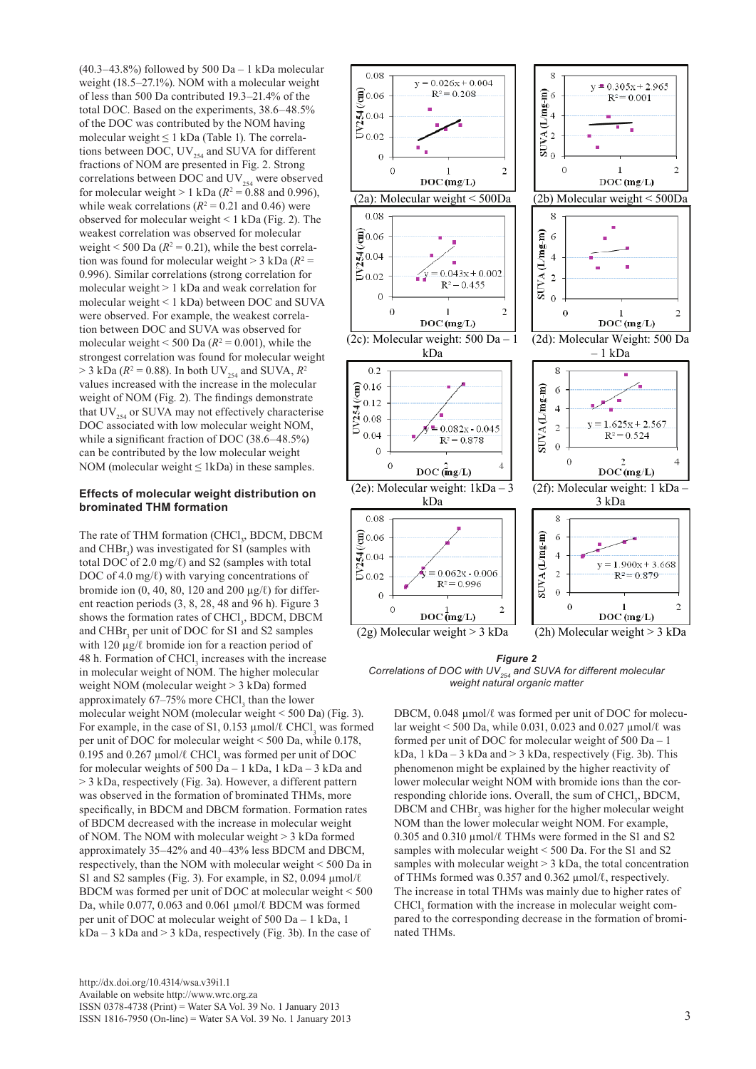$(40.3-43.8\%)$  followed by  $500$  Da – 1 kDa molecular weight (18.5–27.1%). NOM with a molecular weight of less than 500 Da contributed 19.3–21.4% of the total DOC. Based on the experiments, 38.6–48.5% of the DOC was contributed by the NOM having molecular weight  $\leq 1$  kDa (Table 1). The correlations between DOC,  $UV_{254}$  and SUVA for different fractions of NOM are presented in Fig. 2. Strong correlations between DOC and  $UV_{254}$  were observed for molecular weight  $> 1$  kDa ( $R^2 = 0.88$  and 0.996), while weak correlations  $(R^2 = 0.21$  and 0.46) were observed for molecular weight < 1 kDa (Fig. 2). The weakest correlation was observed for molecular weight  $\leq 500$  Da ( $R^2 = 0.21$ ), while the best correlation was found for molecular weight  $>$  3 kDa ( $R^2$  = 0.996). Similar correlations (strong correlation for molecular weight > 1 kDa and weak correlation for molecular weight < 1 kDa) between DOC and SUVA were observed. For example, the weakest correlation between DOC and SUVA was observed for molecular weight  $\leq 500$  Da ( $R^2 = 0.001$ ), while the strongest correlation was found for molecular weight  $>$  3 kDa ( $R$ <sup>2</sup> = 0.88). In both UV<sub>254</sub> and SUVA,  $R$ <sup>2</sup> values increased with the increase in the molecular weight of NOM (Fig. 2). The findings demonstrate that  $UV_{254}$  or SUVA may not effectively characterise DOC associated with low molecular weight NOM, while a significant fraction of DOC (38.6–48.5%) can be contributed by the low molecular weight NOM (molecular weight  $\leq$  1kDa) in these samples.

#### **Effects of molecular weight distribution on brominated THM formation**

The rate of THM formation (CHCl<sub>3</sub>, BDCM, DBCM and  $CHBr<sub>3</sub>$ ) was investigated for S1 (samples with total DOC of 2.0 mg/ $\ell$ ) and S2 (samples with total DOC of 4.0 mg/ℓ) with varying concentrations of bromide ion  $(0, 40, 80, 120$  and  $200 \mu g/l$ ) for different reaction periods (3, 8, 28, 48 and 96 h). Figure 3 shows the formation rates of CHCl<sub>3</sub>, BDCM, DBCM and CHBr<sub>3</sub> per unit of DOC for S1 and S2 samples with 120 µg/ℓ bromide ion for a reaction period of 48 h. Formation of  $CHCl<sub>3</sub>$  increases with the increase in molecular weight of NOM. The higher molecular weight NOM (molecular weight > 3 kDa) formed approximately 67–75% more  $CHCl<sub>3</sub>$  than the lower molecular weight NOM (molecular weight < 500 Da) (Fig. 3). For example, in the case of S1, 0.153  $\mu$ mol/ $\ell$  CHCl<sub>3</sub> was formed per unit of DOC for molecular weight < 500 Da, while 0.178, 0.195 and 0.267  $\mu$ mol/ $\ell$  CHCl<sub>3</sub> was formed per unit of DOC for molecular weights of  $500$  Da – 1 kDa, 1 kDa – 3 kDa and > 3 kDa, respectively (Fig. 3a). However, a different pattern was observed in the formation of brominated THMs, more specifically, in BDCM and DBCM formation. Formation rates of BDCM decreased with the increase in molecular weight of NOM. The NOM with molecular weight > 3 kDa formed approximately 35–42% and 40–43% less BDCM and DBCM, respectively, than the NOM with molecular weight < 500 Da in S1 and S2 samples (Fig. 3). For example, in S2, 0.094  $\mu$ mol/ $\ell$ BDCM was formed per unit of DOC at molecular weight < 500 Da, while 0.077, 0.063 and 0.061 μmol/ℓ BDCM was formed per unit of DOC at molecular weight of 500 Da – 1 kDa, 1  $kDa - 3 kDa$  and  $> 3 kDa$ , respectively (Fig. 3b). In the case of



*Figure 2* Correlations of DOC with UV<sub>254</sub> and SUVA for different molecular *weight natural organic matter*

DBCM, 0.048 µmol/ℓ was formed per unit of DOC for molecular weight < 500 Da, while 0.031, 0.023 and 0.027  $\mu$ mol/ℓ was formed per unit of DOC for molecular weight of 500 Da – 1 kDa, 1 kDa – 3 kDa and  $>$  3 kDa, respectively (Fig. 3b). This phenomenon might be explained by the higher reactivity of lower molecular weight NOM with bromide ions than the corresponding chloride ions. Overall, the sum of CHCl<sub>3</sub>, BDCM, DBCM and  $CHBr<sub>3</sub>$  was higher for the higher molecular weight NOM than the lower molecular weight NOM. For example, 0.305 and 0.310 µmol/ℓ THMs were formed in the S1 and S2 samples with molecular weight < 500 Da. For the S1 and S2 samples with molecular weight  $> 3$  kDa, the total concentration of THMs formed was 0.357 and 0.362 µmol/ℓ, respectively. The increase in total THMs was mainly due to higher rates of  $CHCl<sub>3</sub>$  formation with the increase in molecular weight compared to the corresponding decrease in the formation of brominated THMs.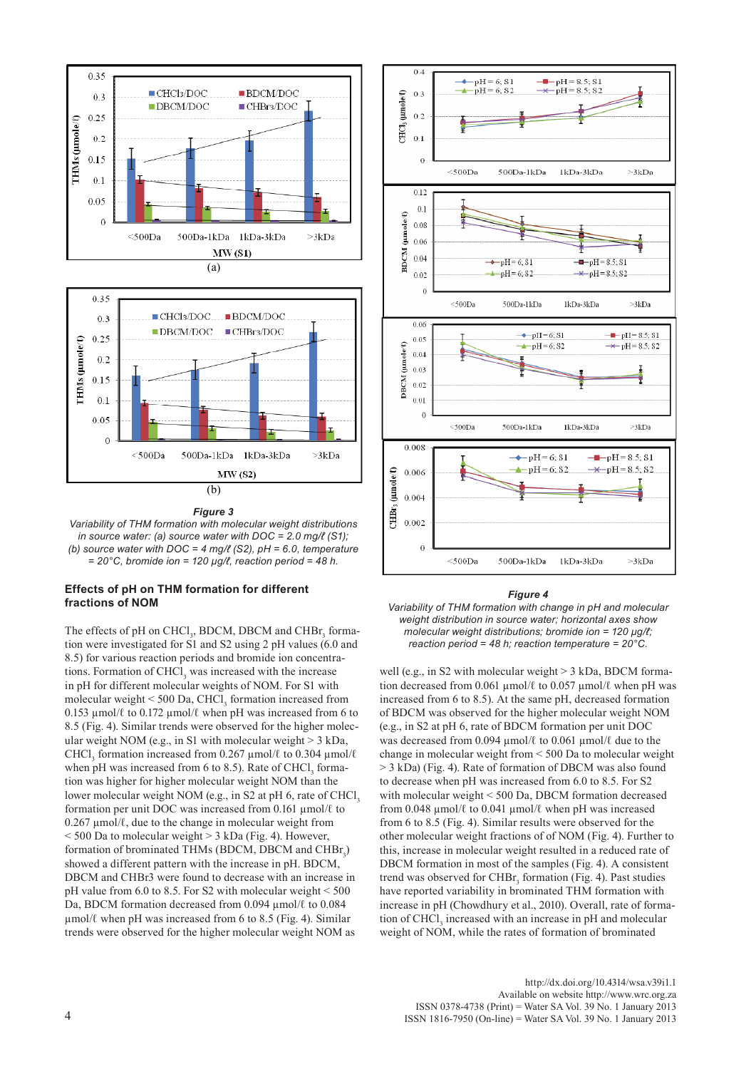



*Figure 3 Variability of THM formation with molecular weight distributions in source water: (a) source water with DOC = 2.0 mg/ℓ (S1); (b) source water with DOC = 4 mg/ℓ (S2), pH = 6.0, temperature = 20°C, bromide ion = 120 µg/ℓ, reaction period = 48 h.*

# **Effects of pH on THM formation for different fractions of NOM**

The effects of pH on CHCl<sub>3</sub>, BDCM, DBCM and CHB $r<sub>3</sub>$  formation were investigated for S1 and S2 using 2 pH values (6.0 and 8.5) for various reaction periods and bromide ion concentrations. Formation of CHCl<sub>3</sub> was increased with the increase in pH for different molecular weights of NOM. For S1 with molecular weight  $<$  500 Da, CHCl<sub>3</sub> formation increased from 0.153 µmol/ℓ to 0.172 µmol/ℓ when pH was increased from 6 to 8.5 (Fig. 4). Similar trends were observed for the higher molecular weight NOM (e.g., in S1 with molecular weight > 3 kDa, CHCl<sub>3</sub> formation increased from 0.267  $\mu$ mol/ℓ to 0.304  $\mu$ mol/ℓ when pH was increased from 6 to 8.5). Rate of  $CHCl<sub>3</sub>$  formation was higher for higher molecular weight NOM than the lower molecular weight NOM (e.g., in S2 at pH 6, rate of CHCl, formation per unit DOC was increased from 0.161 µmol/ℓ to  $0.267 \mu \text{mol}/\ell$ , due to the change in molecular weight from  $<$  500 Da to molecular weight  $>$  3 kDa (Fig. 4). However, formation of brominated THMs (BDCM, DBCM and  $CHBr<sub>3</sub>$ ) showed a different pattern with the increase in pH. BDCM, DBCM and CHBr3 were found to decrease with an increase in pH value from 6.0 to 8.5. For S2 with molecular weight  $\leq 500$ Da, BDCM formation decreased from 0.094 μmol/ℓ to 0.084  $\mu$ mol/ℓ when pH was increased from 6 to 8.5 (Fig. 4). Similar trends were observed for the higher molecular weight NOM as



#### *Figure 4*



well (e.g., in S2 with molecular weight > 3 kDa, BDCM formation decreased from 0.061 μmol/ℓ to 0.057 μmol/ℓ when pH was increased from 6 to 8.5). At the same pH, decreased formation of BDCM was observed for the higher molecular weight NOM (e.g., in S2 at pH 6, rate of BDCM formation per unit DOC was decreased from 0.094 µmol/ℓ to 0.061 µmol/ℓ due to the change in molecular weight from < 500 Da to molecular weight > 3 kDa) (Fig. 4). Rate of formation of DBCM was also found to decrease when pH was increased from 6.0 to 8.5. For S2 with molecular weight < 500 Da, DBCM formation decreased from 0.048  $\mu$ mol/ $\ell$  to 0.041  $\mu$ mol/ $\ell$  when pH was increased from 6 to 8.5 (Fig. 4). Similar results were observed for the other molecular weight fractions of of NOM (Fig. 4). Further to this, increase in molecular weight resulted in a reduced rate of DBCM formation in most of the samples (Fig. 4). A consistent trend was observed for  $CHBr<sub>3</sub>$  formation (Fig. 4). Past studies have reported variability in brominated THM formation with increase in pH (Chowdhury et al., 2010). Overall, rate of formation of  $CHCl<sub>3</sub>$  increased with an increase in pH and molecular weight of NOM, while the rates of formation of brominated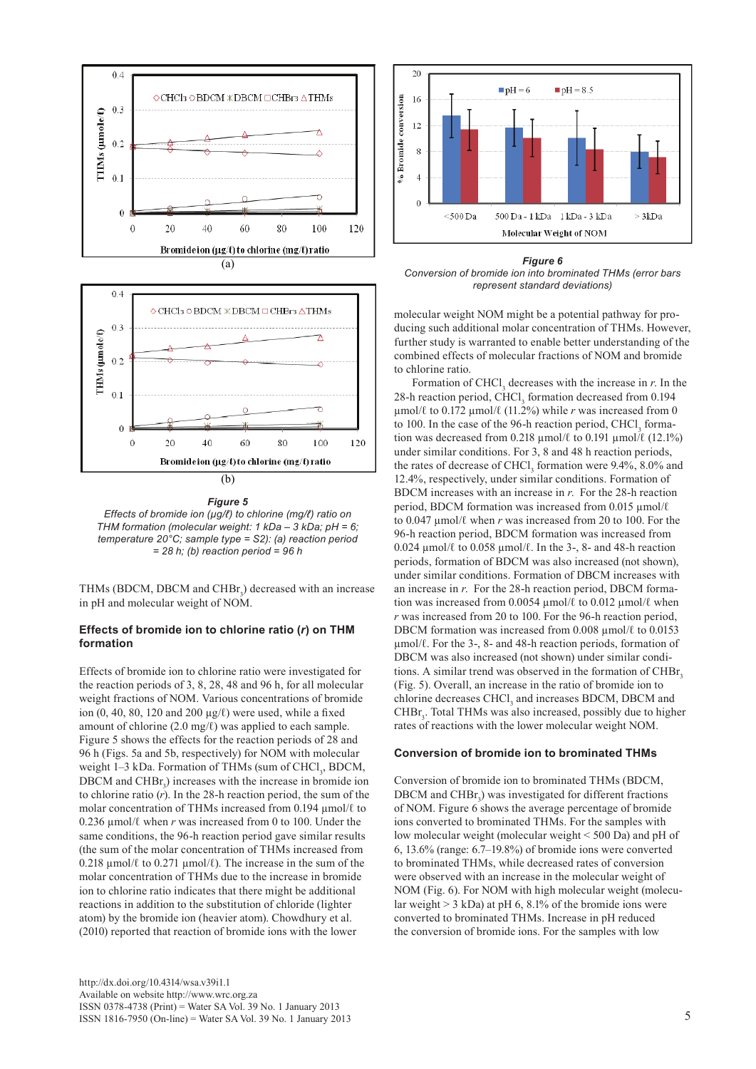



*Figure 5 Effects of bromide ion (µg/ℓ) to chlorine (mg/ℓ) ratio on THM formation (molecular weight: 1 kDa – 3 kDa; pH = 6; temperature 20°C; sample type = S2): (a) reaction period = 28 h; (b) reaction period = 96 h*

THMs (BDCM, DBCM and  $CHBr<sub>3</sub>$ ) decreased with an increase in pH and molecular weight of NOM.

# **Effects of bromide ion to chlorine ratio (***r***) on THM formation**

Effects of bromide ion to chlorine ratio were investigated for the reaction periods of 3, 8, 28, 48 and 96 h, for all molecular weight fractions of NOM. Various concentrations of bromide ion  $(0, 40, 80, 120$  and  $200 \mu$ g/ℓ) were used, while a fixed amount of chlorine  $(2.0 \text{ mg}/\ell)$  was applied to each sample. Figure 5 shows the effects for the reaction periods of 28 and 96 h (Figs. 5a and 5b, respectively) for NOM with molecular weight 1–3 kDa. Formation of THMs (sum of CHCl<sub>3</sub>, BDCM,  $DBCM$  and  $CHBr<sub>3</sub>$ ) increases with the increase in bromide ion to chlorine ratio (*r*). In the 28-h reaction period, the sum of the molar concentration of THMs increased from 0.194 µmol/ℓ to 0.236 µmol/ℓ when *r* was increased from 0 to 100. Under the same conditions, the 96-h reaction period gave similar results (the sum of the molar concentration of THMs increased from 0.218  $\mu$ mol/ℓ to 0.271  $\mu$ mol/ℓ). The increase in the sum of the molar concentration of THMs due to the increase in bromide ion to chlorine ratio indicates that there might be additional reactions in addition to the substitution of chloride (lighter atom) by the bromide ion (heavier atom). Chowdhury et al. (2010) reported that reaction of bromide ions with the lower



*Figure 6*

*Conversion of bromide ion into brominated THMs (error bars represent standard deviations)*

molecular weight NOM might be a potential pathway for producing such additional molar concentration of THMs. However, further study is warranted to enable better understanding of the combined effects of molecular fractions of NOM and bromide to chlorine ratio.

Formation of  $CHCl<sub>3</sub>$  decreases with the increase in  $r$ . In the 28-h reaction period,  $CHCl<sub>3</sub>$  formation decreased from 0.194  $\mu$ mol/ℓ to 0.172  $\mu$ mol/ℓ (11.2%) while *r* was increased from 0 to 100. In the case of the 96-h reaction period,  $CHCl<sub>3</sub>$  formation was decreased from 0.218 μmol/ℓ to 0.191 μmol/ℓ (12.1%) under similar conditions. For 3, 8 and 48 h reaction periods, the rates of decrease of CHCl<sub>3</sub> formation were  $9.4\%$ ,  $8.0\%$  and 12.4%, respectively, under similar conditions. Formation of BDCM increases with an increase in *r*. For the 28-h reaction period, BDCM formation was increased from 0.015  $\mu$ mol/ $\ell$ to 0.047 µmol/ℓ when *r* was increased from 20 to 100. For the 96-h reaction period, BDCM formation was increased from 0.024  $\mu$ mol/ $\ell$  to 0.058  $\mu$ mol/ $\ell$ . In the 3-, 8- and 48-h reaction periods, formation of BDCM was also increased (not shown), under similar conditions. Formation of DBCM increases with an increase in *r*. For the 28-h reaction period, DBCM formation was increased from 0.0054 μmol/ℓ to 0.012 μmol/ℓ when *r* was increased from 20 to 100. For the 96-h reaction period, DBCM formation was increased from 0.008 µmol/ℓ to 0.0153 µmol/ℓ. For the 3-, 8- and 48-h reaction periods, formation of DBCM was also increased (not shown) under similar conditions. A similar trend was observed in the formation of CHBr<sub>3</sub> (Fig. 5). Overall, an increase in the ratio of bromide ion to chlorine decreases CHCl<sub>3</sub> and increases BDCM, DBCM and  $CHBr<sub>3</sub>$ . Total THMs was also increased, possibly due to higher rates of reactions with the lower molecular weight NOM.

# **Conversion of bromide ion to brominated THMs**

Conversion of bromide ion to brominated THMs (BDCM, DBCM and  $CHBr<sub>3</sub>$ ) was investigated for different fractions of NOM. Figure 6 shows the average percentage of bromide ions converted to brominated THMs. For the samples with low molecular weight (molecular weight < 500 Da) and pH of 6, 13.6% (range: 6.7–19.8%) of bromide ions were converted to brominated THMs, while decreased rates of conversion were observed with an increase in the molecular weight of NOM (Fig. 6). For NOM with high molecular weight (molecular weight  $> 3$  kDa) at pH 6, 8.1% of the bromide ions were converted to brominated THMs. Increase in pH reduced the conversion of bromide ions. For the samples with low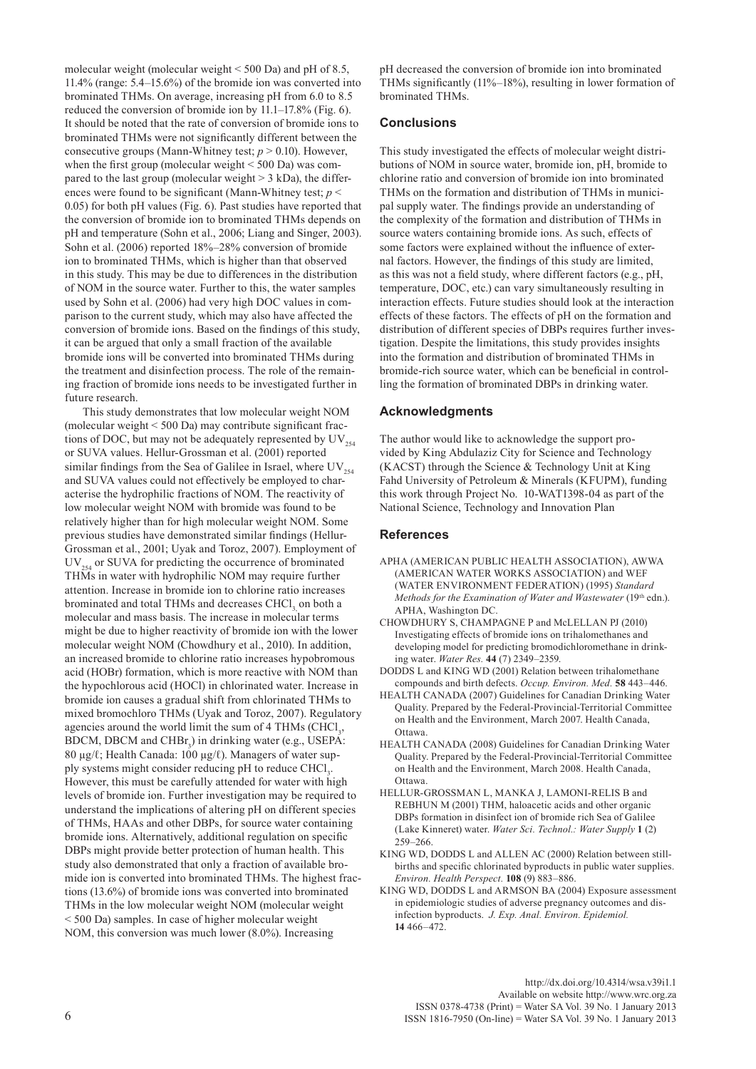molecular weight (molecular weight  $\leq 500$  Da) and pH of 8.5, 11.4% (range: 5.4–15.6%) of the bromide ion was converted into brominated THMs. On average, increasing pH from 6.0 to 8.5 reduced the conversion of bromide ion by 11.1–17.8% (Fig. 6). It should be noted that the rate of conversion of bromide ions to brominated THMs were not significantly different between the consecutive groups (Mann-Whitney test; *p* > 0.10). However, when the first group (molecular weight < 500 Da) was compared to the last group (molecular weight  $> 3$  kDa), the differences were found to be significant (Mann-Whitney test; *p* < 0.05) for both pH values (Fig. 6). Past studies have reported that the conversion of bromide ion to brominated THMs depends on pH and temperature (Sohn et al., 2006; Liang and Singer, 2003). Sohn et al. (2006) reported 18%–28% conversion of bromide ion to brominated THMs, which is higher than that observed in this study. This may be due to differences in the distribution of NOM in the source water. Further to this, the water samples used by Sohn et al. (2006) had very high DOC values in comparison to the current study, which may also have affected the conversion of bromide ions. Based on the findings of this study, it can be argued that only a small fraction of the available bromide ions will be converted into brominated THMs during the treatment and disinfection process. The role of the remaining fraction of bromide ions needs to be investigated further in future research.

This study demonstrates that low molecular weight NOM (molecular weight < 500 Da) may contribute significant fractions of DOC, but may not be adequately represented by  $UV_{354}$ or SUVA values. Hellur-Grossman et al. (2001) reported similar findings from the Sea of Galilee in Israel, where  $UV_{254}$ and SUVA values could not effectively be employed to characterise the hydrophilic fractions of NOM. The reactivity of low molecular weight NOM with bromide was found to be relatively higher than for high molecular weight NOM. Some previous studies have demonstrated similar findings (Hellur-Grossman et al., 2001; Uyak and Toroz, 2007). Employment of  $UV_{254}$  or SUVA for predicting the occurrence of brominated THMs in water with hydrophilic NOM may require further attention. Increase in bromide ion to chlorine ratio increases brominated and total THMs and decreases CHCl<sub>3</sub> on both a molecular and mass basis. The increase in molecular terms might be due to higher reactivity of bromide ion with the lower molecular weight NOM (Chowdhury et al., 2010). In addition, an increased bromide to chlorine ratio increases hypobromous acid (HOBr) formation, which is more reactive with NOM than the hypochlorous acid (HOCl) in chlorinated water. Increase in bromide ion causes a gradual shift from chlorinated THMs to mixed bromochloro THMs (Uyak and Toroz, 2007). Regulatory agencies around the world limit the sum of  $4$  THMs (CHCl<sub>3</sub>, BDCM, DBCM and  $CHBr<sub>3</sub>$ ) in drinking water (e.g., USEPA: 80 μg/ $\ell$ ; Health Canada: 100 μg/ $\ell$ ). Managers of water supply systems might consider reducing pH to reduce CHCl<sub>3</sub>. However, this must be carefully attended for water with high levels of bromide ion. Further investigation may be required to understand the implications of altering pH on different species of THMs, HAAs and other DBPs, for source water containing bromide ions. Alternatively, additional regulation on specific DBPs might provide better protection of human health. This study also demonstrated that only a fraction of available bromide ion is converted into brominated THMs. The highest fractions (13.6%) of bromide ions was converted into brominated THMs in the low molecular weight NOM (molecular weight < 500 Da) samples. In case of higher molecular weight NOM, this conversion was much lower (8.0%). Increasing

pH decreased the conversion of bromide ion into brominated THMs significantly (11%–18%), resulting in lower formation of brominated THMs.

# **Conclusions**

This study investigated the effects of molecular weight distributions of NOM in source water, bromide ion, pH, bromide to chlorine ratio and conversion of bromide ion into brominated THMs on the formation and distribution of THMs in municipal supply water. The findings provide an understanding of the complexity of the formation and distribution of THMs in source waters containing bromide ions. As such, effects of some factors were explained without the influence of external factors. However, the findings of this study are limited, as this was not a field study, where different factors (e.g., pH, temperature, DOC, etc.) can vary simultaneously resulting in interaction effects. Future studies should look at the interaction effects of these factors. The effects of pH on the formation and distribution of different species of DBPs requires further investigation. Despite the limitations, this study provides insights into the formation and distribution of brominated THMs in bromide-rich source water, which can be beneficial in controlling the formation of brominated DBPs in drinking water.

# **Acknowledgments**

The author would like to acknowledge the support provided by King Abdulaziz City for Science and Technology (KACST) through the Science & Technology Unit at King Fahd University of Petroleum & Minerals (KFUPM), funding this work through Project No. 10-WAT1398-04 as part of the National Science, Technology and Innovation Plan

# **References**

- APHA (AMERICAN PUBLIC HEALTH ASSOCIATION), AWWA (AMERICAN WATER WORKS ASSOCIATION) and WEF (WATER ENVIRONMENT FEDERATION) (1995) *Standard Methods for the Examination of Water and Wastewater* (19th edn.). APHA, Washington DC.
- CHOWDHURY S, CHAMPAGNE P and McLELLAN PJ (2010) Investigating effects of bromide ions on trihalomethanes and developing model for predicting bromodichloromethane in drinking water. *Water Res.* **44** (7) 2349–2359.
- DODDS L and KING WD (2001) Relation between trihalomethane compounds and birth defects. *Occup. Environ. Med.* **58** 443–446.
- HEALTH CANADA (2007) Guidelines for Canadian Drinking Water Quality. Prepared by the Federal-Provincial-Territorial Committee on Health and the Environment, March 2007. Health Canada, Ottawa.
- HEALTH CANADA (2008) Guidelines for Canadian Drinking Water Quality. Prepared by the Federal-Provincial-Territorial Committee on Health and the Environment, March 2008. Health Canada, Ottawa.
- HELLUR-GROSSMAN L, MANKA J, LAMONI-RELIS B and REBHUN M (2001) THM, haloacetic acids and other organic DBPs formation in disinfect ion of bromide rich Sea of Galilee (Lake Kinneret) water. *Water Sci. Technol.: Water Supply* **1** (2) 259–266.
- KING WD, DODDS L and ALLEN AC (2000) Relation between stillbirths and specific chlorinated byproducts in public water supplies. *Environ. Health Perspect.* **108** (9) 883–886.
- KING WD, DODDS L and ARMSON BA (2004) Exposure assessment in epidemiologic studies of adverse pregnancy outcomes and disinfection byproducts. *J. Exp. Anal. Environ. Epidemiol.* **14** 466–472.